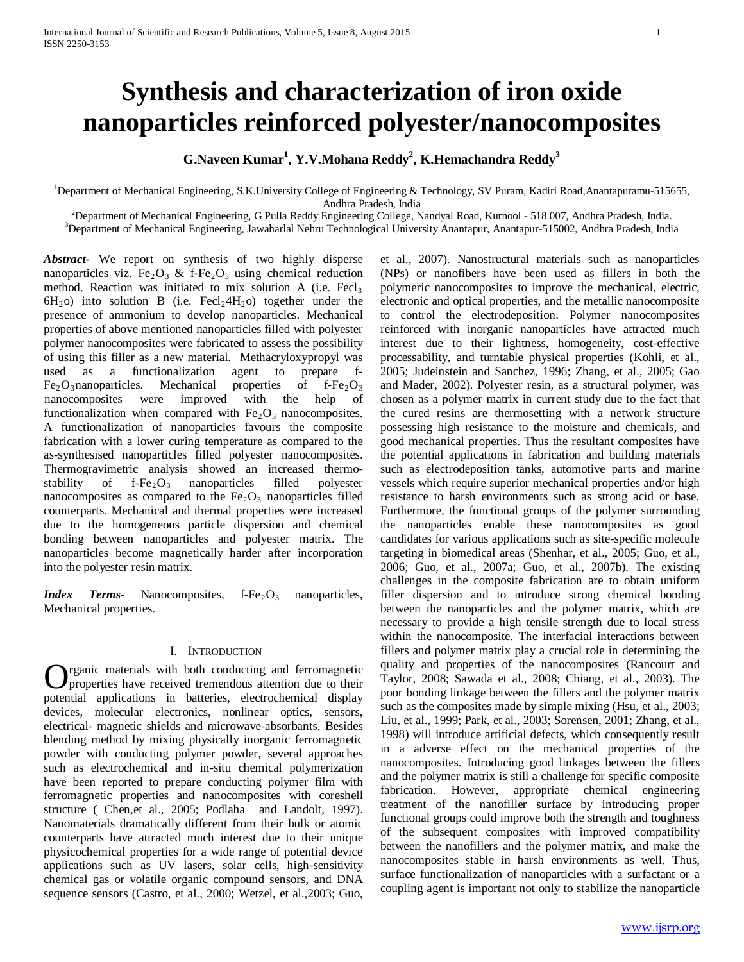# **Synthesis and characterization of iron oxide nanoparticles reinforced polyester/nanocomposites**

 $\,$ G.Naveen Kumar $\rm ^1$ , Y.V.Mohana Reddy $\rm ^2$ , K.Hemachandra Reddy $\rm ^3$ 

<sup>1</sup>Department of Mechanical Engineering, S.K.University College of Engineering & Technology, SV Puram, Kadiri Road,Anantapuramu-515655, Andhra Pradesh, India<br><sup>2</sup> Department of Machanical Engineering, G Pulla Reddy Engineering Gollage

 $^{2}$ Department of Mechanical Engineering, G Pulla Reddy Engineering College, Nandyal Road, Kurnool - 518 007, Andhra Pradesh, India.  $^{3}$ Department of Mechanical Engineering, Lawaberlal Nahru Technological University Ap

<sup>3</sup>Department of Mechanical Engineering, Jawaharlal Nehru Technological University Anantapur, Anantapur-515002, Andhra Pradesh, India

*Abstract***-** We report on synthesis of two highly disperse nanoparticles viz. Fe<sub>2</sub>O<sub>3</sub> & f-Fe<sub>2</sub>O<sub>3</sub> using chemical reduction method. Reaction was initiated to mix solution A (i.e.  $\text{Fecl}_3$ )  $6H_2$  o) into solution B (i.e.  $Fecl<sub>2</sub>4H<sub>2</sub>$  o) together under the presence of ammonium to develop nanoparticles. Mechanical properties of above mentioned nanoparticles filled with polyester polymer nanocomposites were fabricated to assess the possibility of using this filler as a new material. Methacryloxypropyl was used as a functionalization agent to prepare f- $Fe<sub>2</sub>O<sub>3</sub>$ nanoparticles. Mechanical properties of f-Fe<sub>2</sub>O<sub>3</sub> nanocomposites were improved with the help of nanocomposites were improved with the help of functionalization when compared with  $Fe<sub>2</sub>O<sub>3</sub>$  nanocomposites. A functionalization of nanoparticles favours the composite fabrication with a lower curing temperature as compared to the as-synthesised nanoparticles filled polyester nanocomposites. Thermogravimetric analysis showed an increased thermostability of  $f-Fe<sub>2</sub>O<sub>3</sub>$  nanoparticles filled polyester nanocomposites as compared to the  $Fe<sub>2</sub>O<sub>3</sub>$  nanoparticles filled counterparts. Mechanical and thermal properties were increased due to the homogeneous particle dispersion and chemical bonding between nanoparticles and polyester matrix. The nanoparticles become magnetically harder after incorporation into the polyester resin matrix.

*Index Terms*- Nanocomposites, f-Fe<sub>2</sub>O<sub>3</sub> nanoparticles, Mechanical properties.

### I. INTRODUCTION

rganic materials with both conducting and ferromagnetic properties have received tremendous attention due to their **O** rganic materials with both conducting and ferromagnetic properties have received tremendous attention due to their potential applications in batteries, electrochemical display devices, molecular electronics, nonlinear optics, sensors, electrical- magnetic shields and microwave-absorbants. Besides blending method by mixing physically inorganic ferromagnetic powder with conducting polymer powder, several approaches such as electrochemical and in-situ chemical polymerization have been reported to prepare conducting polymer film with ferromagnetic properties and nanocomposites with coreshell structure ( Chen,et al., 2005; Podlaha and Landolt, 1997). Nanomaterials dramatically different from their bulk or atomic counterparts have attracted much interest due to their unique physicochemical properties for a wide range of potential device applications such as UV lasers, solar cells, high-sensitivity chemical gas or volatile organic compound sensors, and DNA sequence sensors (Castro, et al., 2000; Wetzel, et al.,2003; Guo,

et al., 2007). Nanostructural materials such as nanoparticles (NPs) or nanofibers have been used as fillers in both the polymeric nanocomposites to improve the mechanical, electric, electronic and optical properties, and the metallic nanocomposite to control the electrodeposition. Polymer nanocomposites reinforced with inorganic nanoparticles have attracted much interest due to their lightness, homogeneity, cost-effective processability, and turntable physical properties (Kohli, et al., 2005; Judeinstein and Sanchez, 1996; Zhang, et al., 2005; Gao and Mader, 2002). Polyester resin, as a structural polymer, was chosen as a polymer matrix in current study due to the fact that the cured resins are thermosetting with a network structure possessing high resistance to the moisture and chemicals, and good mechanical properties. Thus the resultant composites have the potential applications in fabrication and building materials such as electrodeposition tanks, automotive parts and marine vessels which require superior mechanical properties and/or high resistance to harsh environments such as strong acid or base. Furthermore, the functional groups of the polymer surrounding the nanoparticles enable these nanocomposites as good candidates for various applications such as site-specific molecule targeting in biomedical areas (Shenhar, et al., 2005; Guo, et al., 2006; Guo, et al., 2007a; Guo, et al., 2007b). The existing challenges in the composite fabrication are to obtain uniform filler dispersion and to introduce strong chemical bonding between the nanoparticles and the polymer matrix, which are necessary to provide a high tensile strength due to local stress within the nanocomposite. The interfacial interactions between fillers and polymer matrix play a crucial role in determining the quality and properties of the nanocomposites (Rancourt and Taylor, 2008; Sawada et al., 2008; Chiang, et al., 2003). The poor bonding linkage between the fillers and the polymer matrix such as the composites made by simple mixing (Hsu, et al., 2003; Liu, et al., 1999; Park, et al., 2003; Sorensen, 2001; Zhang, et al., 1998) will introduce artificial defects, which consequently result in a adverse effect on the mechanical properties of the nanocomposites. Introducing good linkages between the fillers and the polymer matrix is still a challenge for specific composite fabrication. However, appropriate chemical engineering treatment of the nanofiller surface by introducing proper functional groups could improve both the strength and toughness of the subsequent composites with improved compatibility between the nanofillers and the polymer matrix, and make the nanocomposites stable in harsh environments as well. Thus, surface functionalization of nanoparticles with a surfactant or a coupling agent is important not only to stabilize the nanoparticle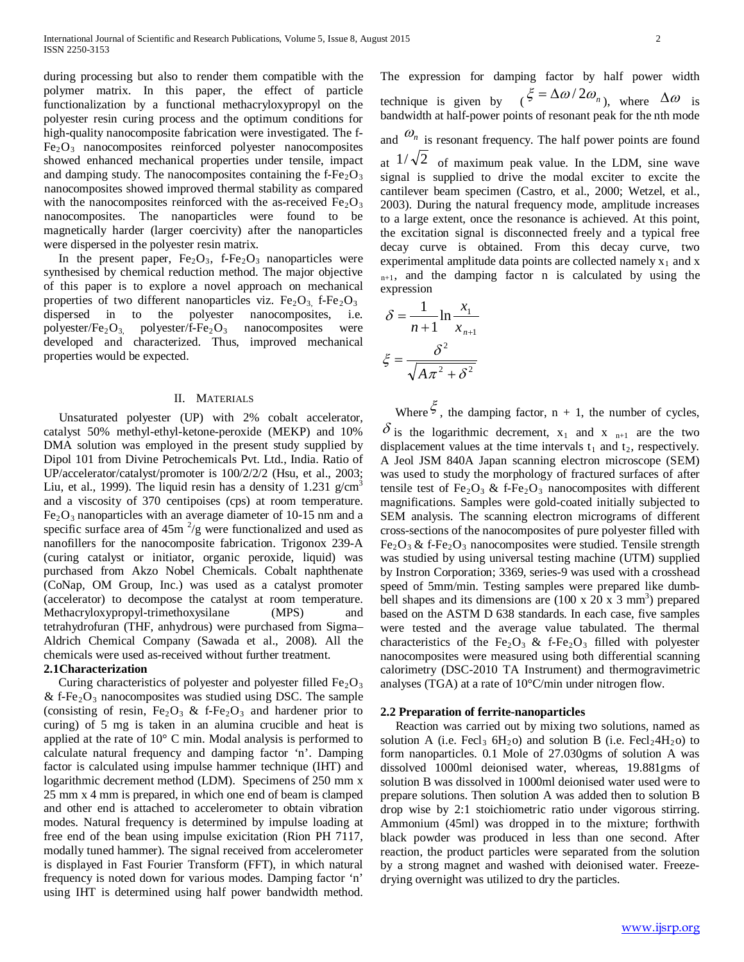during processing but also to render them compatible with the polymer matrix. In this paper, the effect of particle functionalization by a functional methacryloxypropyl on the polyester resin curing process and the optimum conditions for high-quality nanocomposite fabrication were investigated. The f- $Fe<sub>2</sub>O<sub>3</sub>$  nanocomposites reinforced polyester nanocomposites showed enhanced mechanical properties under tensile, impact and damping study. The nanocomposites containing the  $f-Fe<sub>2</sub>O<sub>3</sub>$ nanocomposites showed improved thermal stability as compared with the nanocomposites reinforced with the as-received  $Fe<sub>2</sub>O<sub>3</sub>$ nanocomposites. The nanoparticles were found to be magnetically harder (larger coercivity) after the nanoparticles were dispersed in the polyester resin matrix.

In the present paper,  $Fe<sub>2</sub>O<sub>3</sub>$ , f- $Fe<sub>2</sub>O<sub>3</sub>$  nanoparticles were synthesised by chemical reduction method. The major objective of this paper is to explore a novel approach on mechanical properties of two different nanoparticles viz.  $Fe<sub>2</sub>O<sub>3</sub>$ , f- $Fe<sub>2</sub>O<sub>3</sub>$ dispersed in to the polyester nanocomposites, i.e. polyester/Fe<sub>2</sub>O<sub>3</sub>, polyester/f-Fe<sub>2</sub>O<sub>3</sub> nanocomposites were developed and characterized. Thus, improved mechanical properties would be expected.

### II. MATERIALS

 Unsaturated polyester (UP) with 2% cobalt accelerator, catalyst 50% methyl-ethyl-ketone-peroxide (MEKP) and 10% DMA solution was employed in the present study supplied by Dipol 101 from Divine Petrochemicals Pvt. Ltd., India. Ratio of UP/accelerator/catalyst/promoter is 100/2/2/2 (Hsu, et al., 2003; Liu, et al., 1999). The liquid resin has a density of 1.231  $g/cm<sup>3</sup>$ and a viscosity of 370 centipoises (cps) at room temperature.  $Fe<sub>2</sub>O<sub>3</sub>$  nanoparticles with an average diameter of 10-15 nm and a specific surface area of  $45m^2/g$  were functionalized and used as nanofillers for the nanocomposite fabrication. Trigonox 239-A (curing catalyst or initiator, organic peroxide, liquid) was purchased from Akzo Nobel Chemicals. Cobalt naphthenate (CoNap, OM Group, Inc.) was used as a catalyst promoter (accelerator) to decompose the catalyst at room temperature. Methacryloxypropyl-trimethoxysilane (MPS) and tetrahydrofuran (THF, anhydrous) were purchased from Sigma– Aldrich Chemical Company (Sawada et al., 2008). All the chemicals were used as-received without further treatment.

## **2.1Characterization**

Curing characteristics of polyester and polyester filled  $Fe<sub>2</sub>O<sub>3</sub>$ & f-Fe<sub>2</sub>O<sub>3</sub> nanocomposites was studied using DSC. The sample (consisting of resin,  $Fe<sub>2</sub>O<sub>3</sub>$  & f-Fe<sub>2</sub>O<sub>3</sub> and hardener prior to curing) of 5 mg is taken in an alumina crucible and heat is applied at the rate of 10° C min. Modal analysis is performed to calculate natural frequency and damping factor 'n'. Damping factor is calculated using impulse hammer technique (IHT) and logarithmic decrement method (LDM). Specimens of 250 mm x 25 mm x 4 mm is prepared, in which one end of beam is clamped and other end is attached to accelerometer to obtain vibration modes. Natural frequency is determined by impulse loading at free end of the bean using impulse exicitation (Rion PH 7117, modally tuned hammer). The signal received from accelerometer is displayed in Fast Fourier Transform (FFT), in which natural frequency is noted down for various modes. Damping factor 'n' using IHT is determined using half power bandwidth method.

The expression for damping factor by half power width technique is given by  $(\xi = \Delta \omega / 2 \omega_n)$ , where  $\Delta \omega$  is bandwidth at half-power points of resonant peak for the nth mode and  $\omega_n$  is resonant frequency. The half power points are found at  $1/\sqrt{2}$  of maximum peak value. In the LDM, sine wave

signal is supplied to drive the modal exciter to excite the cantilever beam specimen (Castro, et al., 2000; Wetzel, et al., 2003). During the natural frequency mode, amplitude increases to a large extent, once the resonance is achieved. At this point, the excitation signal is disconnected freely and a typical free decay curve is obtained. From this decay curve, two experimental amplitude data points are collected namely  $x_1$  and x  $n+1$ , and the damping factor n is calculated by using the expression

$$
\delta = \frac{1}{n+1} \ln \frac{x_1}{x_{n+1}}
$$

$$
\xi = \frac{\delta^2}{\sqrt{A\pi^2 + \delta^2}}
$$

Where  $\zeta$ , the damping factor, n + 1, the number of cycles,  $\delta$  is the logarithmic decrement,  $x_1$  and  $x_{n+1}$  are the two displacement values at the time intervals  $t_1$  and  $t_2$ , respectively. A Jeol JSM 840A Japan scanning electron microscope (SEM) was used to study the morphology of fractured surfaces of after tensile test of Fe<sub>2</sub>O<sub>3</sub> & f-Fe<sub>2</sub>O<sub>3</sub> nanocomposites with different magnifications. Samples were gold-coated initially subjected to SEM analysis. The scanning electron micrograms of different cross-sections of the nanocomposites of pure polyester filled with  $Fe<sub>2</sub>O<sub>3</sub>$  & f-Fe<sub>2</sub>O<sub>3</sub> nanocomposites were studied. Tensile strength was studied by using universal testing machine (UTM) supplied by Instron Corporation; 3369, series-9 was used with a crosshead speed of 5mm/min. Testing samples were prepared like dumbbell shapes and its dimensions are  $(100 \times 20 \times 3 \text{ mm}^3)$  prepared based on the ASTM D 638 standards. In each case, five samples were tested and the average value tabulated. The thermal characteristics of the Fe<sub>2</sub>O<sub>3</sub> & f-Fe<sub>2</sub>O<sub>3</sub> filled with polyester nanocomposites were measured using both differential scanning calorimetry (DSC-2010 TA Instrument) and thermogravimetric analyses (TGA) at a rate of 10°C/min under nitrogen flow.

### **2.2 Preparation of ferrite-nanoparticles**

 Reaction was carried out by mixing two solutions, named as solution A (i.e. Fecl<sub>3</sub> 6H<sub>2</sub>O) and solution B (i.e. Fecl<sub>2</sub>4H<sub>2</sub>O) to form nanoparticles. 0.1 Mole of 27.030gms of solution A was dissolved 1000ml deionised water, whereas, 19.881gms of solution B was dissolved in 1000ml deionised water used were to prepare solutions. Then solution A was added then to solution B drop wise by 2:1 stoichiometric ratio under vigorous stirring. Ammonium (45ml) was dropped in to the mixture; forthwith black powder was produced in less than one second. After reaction, the product particles were separated from the solution by a strong magnet and washed with deionised water. Freezedrying overnight was utilized to dry the particles.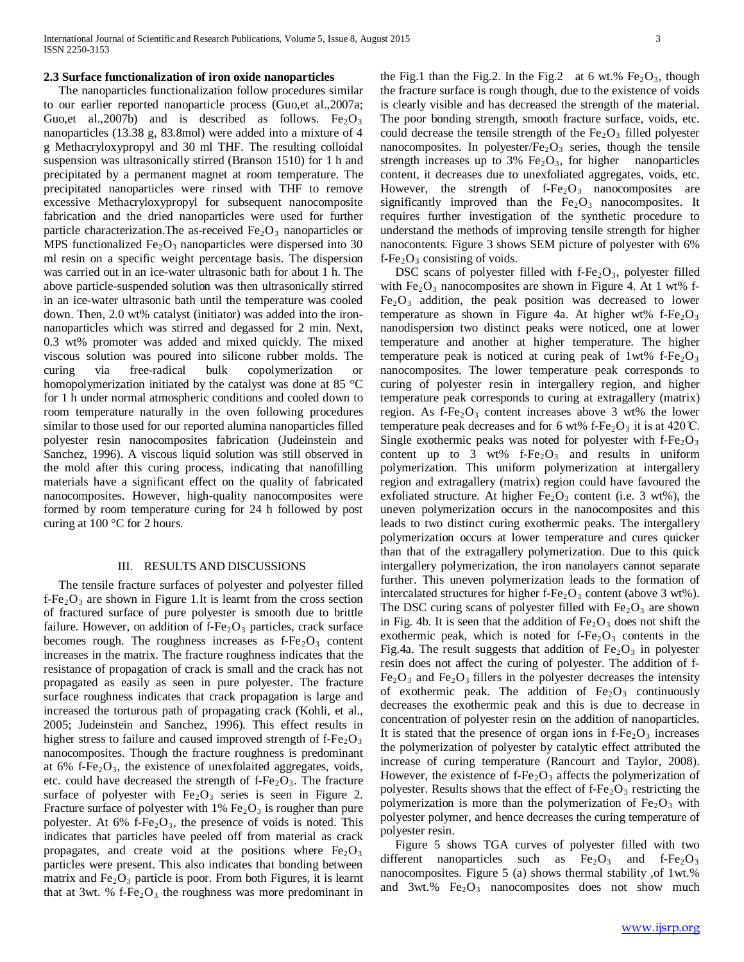#### **2.3 Surface functionalization of iron oxide nanoparticles**

 The nanoparticles functionalization follow procedures similar to our earlier reported nanoparticle process (Guo,et al.,2007a; Guo,et al.,2007b) and is described as follows. Fe<sub>2</sub>O<sub>3</sub> nanoparticles (13.38 g, 83.8mol) were added into a mixture of 4 g Methacryloxypropyl and 30 ml THF. The resulting colloidal suspension was ultrasonically stirred (Branson 1510) for 1 h and precipitated by a permanent magnet at room temperature. The precipitated nanoparticles were rinsed with THF to remove excessive Methacryloxypropyl for subsequent nanocomposite fabrication and the dried nanoparticles were used for further particle characterization. The as-received  $Fe<sub>2</sub>O<sub>3</sub>$  nanoparticles or MPS functionalized  $Fe<sub>2</sub>O<sub>3</sub>$  nanoparticles were dispersed into 30 ml resin on a specific weight percentage basis. The dispersion was carried out in an ice-water ultrasonic bath for about 1 h. The above particle-suspended solution was then ultrasonically stirred in an ice-water ultrasonic bath until the temperature was cooled down. Then, 2.0 wt% catalyst (initiator) was added into the ironnanoparticles which was stirred and degassed for 2 min. Next, 0.3 wt% promoter was added and mixed quickly. The mixed viscous solution was poured into silicone rubber molds. The curing via free-radical bulk copolymerization or homopolymerization initiated by the catalyst was done at 85 °C for 1 h under normal atmospheric conditions and cooled down to room temperature naturally in the oven following procedures similar to those used for our reported alumina nanoparticles filled polyester resin nanocomposites fabrication (Judeinstein and Sanchez, 1996). A viscous liquid solution was still observed in the mold after this curing process, indicating that nanofilling materials have a significant effect on the quality of fabricated nanocomposites. However, high-quality nanocomposites were formed by room temperature curing for 24 h followed by post curing at 100 °C for 2 hours.

#### III. RESULTS AND DISCUSSIONS

 The tensile fracture surfaces of polyester and polyester filled f-Fe<sub>2</sub>O<sub>3</sub> are shown in Figure 1.It is learnt from the cross section of fractured surface of pure polyester is smooth due to brittle failure. However, on addition of  $f - Fe<sub>2</sub>O<sub>3</sub>$  particles, crack surface becomes rough. The roughness increases as  $f - Fe<sub>2</sub>O<sub>3</sub>$  content increases in the matrix. The fracture roughness indicates that the resistance of propagation of crack is small and the crack has not propagated as easily as seen in pure polyester. The fracture surface roughness indicates that crack propagation is large and increased the torturous path of propagating crack (Kohli, et al., 2005; Judeinstein and Sanchez, 1996). This effect results in higher stress to failure and caused improved strength of  $f-Fe<sub>2</sub>O<sub>3</sub>$ nanocomposites. Though the fracture roughness is predominant at  $6\%$  f-Fe<sub>2</sub>O<sub>3</sub>, the existence of unexfolaited aggregates, voids, etc. could have decreased the strength of  $f - Fe<sub>2</sub>O<sub>3</sub>$ . The fracture surface of polyester with  $Fe<sub>2</sub>O<sub>3</sub>$  series is seen in Figure 2. Fracture surface of polyester with 1%  $Fe<sub>2</sub>O<sub>3</sub>$  is rougher than pure polyester. At  $6\%$  f-Fe<sub>2</sub>O<sub>3</sub>, the presence of voids is noted. This indicates that particles have peeled off from material as crack propagates, and create void at the positions where  $Fe<sub>2</sub>O<sub>3</sub>$ particles were present. This also indicates that bonding between matrix and  $Fe<sub>2</sub>O<sub>3</sub>$  particle is poor. From both Figures, it is learnt that at 3wt. % f- $Fe<sub>2</sub>O<sub>3</sub>$  the roughness was more predominant in

the Fig.1 than the Fig.2. In the Fig.2 at 6 wt.%  $Fe<sub>2</sub>O<sub>3</sub>$ , though the fracture surface is rough though, due to the existence of voids is clearly visible and has decreased the strength of the material. The poor bonding strength, smooth fracture surface, voids, etc. could decrease the tensile strength of the  $Fe<sub>2</sub>O<sub>3</sub>$  filled polyester nanocomposites. In polyester/ $Fe<sub>2</sub>O<sub>3</sub>$  series, though the tensile strength increases up to 3%  $Fe<sub>2</sub>O<sub>3</sub>$ , for higher nanoparticles content, it decreases due to unexfoliated aggregates, voids, etc. However, the strength of  $f-Fe<sub>2</sub>O<sub>3</sub>$  nanocomposites are significantly improved than the  $Fe<sub>2</sub>O<sub>3</sub>$  nanocomposites. It requires further investigation of the synthetic procedure to understand the methods of improving tensile strength for higher nanocontents. Figure 3 shows SEM picture of polyester with 6%  $f - Fe_2O_3$  consisting of voids.

DSC scans of polyester filled with  $f - Fe_2O_3$ , polyester filled with  $Fe<sub>2</sub>O<sub>3</sub>$  nanocomposites are shown in Figure 4. At 1 wt% f- $Fe<sub>2</sub>O<sub>3</sub>$  addition, the peak position was decreased to lower temperature as shown in Figure 4a. At higher wt% f-Fe<sub>2</sub>O<sub>3</sub> nanodispersion two distinct peaks were noticed, one at lower temperature and another at higher temperature. The higher temperature peak is noticed at curing peak of  $1wt\%$  f-Fe<sub>2</sub>O<sub>3</sub> nanocomposites. The lower temperature peak corresponds to curing of polyester resin in intergallery region, and higher temperature peak corresponds to curing at extragallery (matrix) region. As  $f - Fe_2O_3$  content increases above 3 wt% the lower temperature peak decreases and for 6 wt% f-Fe<sub>2</sub>O<sub>3</sub> it is at 420 °C. Single exothermic peaks was noted for polyester with  $f-Fe<sub>2</sub>O<sub>3</sub>$ content up to 3 wt%  $f-Fe<sub>2</sub>O<sub>3</sub>$  and results in uniform polymerization. This uniform polymerization at intergallery region and extragallery (matrix) region could have favoured the exfoliated structure. At higher  $Fe<sub>2</sub>O<sub>3</sub>$  content (i.e. 3 wt%), the uneven polymerization occurs in the nanocomposites and this leads to two distinct curing exothermic peaks. The intergallery polymerization occurs at lower temperature and cures quicker than that of the extragallery polymerization. Due to this quick intergallery polymerization, the iron nanolayers cannot separate further. This uneven polymerization leads to the formation of intercalated structures for higher f-Fe<sub>2</sub>O<sub>3</sub> content (above 3 wt%). The DSC curing scans of polyester filled with  $Fe<sub>2</sub>O<sub>3</sub>$  are shown in Fig. 4b. It is seen that the addition of  $Fe<sub>2</sub>O<sub>3</sub>$  does not shift the exothermic peak, which is noted for  $f - Fe<sub>2</sub>O<sub>3</sub>$  contents in the Fig.4a. The result suggests that addition of  $Fe<sub>2</sub>O<sub>3</sub>$  in polyester resin does not affect the curing of polyester. The addition of f- $Fe<sub>2</sub>O<sub>3</sub>$  and  $Fe<sub>2</sub>O<sub>3</sub>$  fillers in the polyester decreases the intensity of exothermic peak. The addition of  $Fe<sub>2</sub>O<sub>3</sub>$  continuously decreases the exothermic peak and this is due to decrease in concentration of polyester resin on the addition of nanoparticles. It is stated that the presence of organ ions in  $f-Fe<sub>2</sub>O<sub>3</sub>$  increases the polymerization of polyester by catalytic effect attributed the increase of curing temperature (Rancourt and Taylor, 2008). However, the existence of  $f-Fe<sub>2</sub>O<sub>3</sub>$  affects the polymerization of polyester. Results shows that the effect of  $f-Fe<sub>2</sub>O<sub>3</sub>$  restricting the polymerization is more than the polymerization of  $Fe<sub>2</sub>O<sub>3</sub>$  with polyester polymer, and hence decreases the curing temperature of polyester resin.

 Figure 5 shows TGA curves of polyester filled with two different nanoparticles such as  $Fe<sub>2</sub>O<sub>3</sub>$  and  $f<sub>-Fe<sub>2</sub>O<sub>3</sub></sub>$ nanocomposites. Figure 5 (a) shows thermal stability ,of 1wt.% and  $3wt$ .%  $Fe<sub>2</sub>O<sub>3</sub>$  nanocomposites does not show much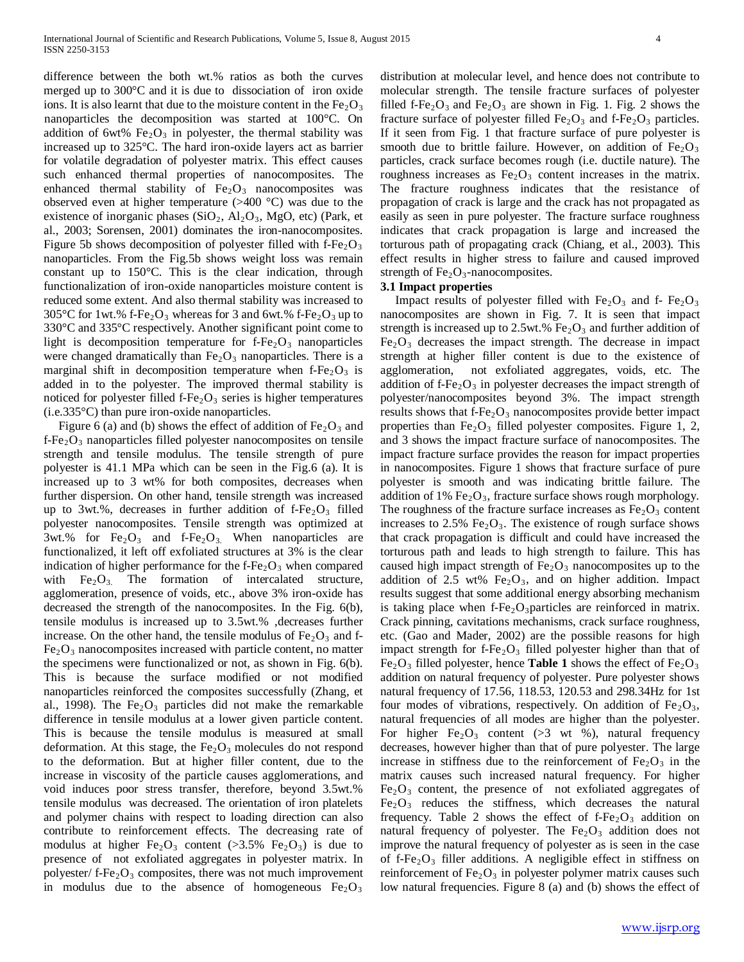difference between the both wt.% ratios as both the curves merged up to 300°C and it is due to dissociation of iron oxide ions. It is also learnt that due to the moisture content in the  $Fe<sub>2</sub>O<sub>3</sub>$ nanoparticles the decomposition was started at 100°C. On addition of 6wt%  $Fe<sub>2</sub>O<sub>3</sub>$  in polyester, the thermal stability was increased up to 325°C. The hard iron-oxide layers act as barrier for volatile degradation of polyester matrix. This effect causes such enhanced thermal properties of nanocomposites. The enhanced thermal stability of  $Fe<sub>2</sub>O<sub>3</sub>$  nanocomposites was observed even at higher temperature (>400 °C) was due to the existence of inorganic phases  $(SiO<sub>2</sub>, Al<sub>2</sub>O<sub>3</sub>, MgO, etc)$  (Park, et al., 2003; Sorensen, 2001) dominates the iron-nanocomposites. Figure 5b shows decomposition of polyester filled with  $f-Fe<sub>2</sub>O<sub>3</sub>$ nanoparticles. From the Fig.5b shows weight loss was remain constant up to 150°C. This is the clear indication, through functionalization of iron-oxide nanoparticles moisture content is reduced some extent. And also thermal stability was increased to 305 $\degree$ C for 1wt.% f-Fe<sub>2</sub>O<sub>3</sub> whereas for 3 and 6wt.% f-Fe<sub>2</sub>O<sub>3</sub> up to 330°C and 335°C respectively. Another significant point come to light is decomposition temperature for  $f - Fe_2O_3$  nanoparticles were changed dramatically than  $Fe<sub>2</sub>O<sub>3</sub>$  nanoparticles. There is a marginal shift in decomposition temperature when  $f - Fe_2O_3$  is added in to the polyester. The improved thermal stability is noticed for polyester filled f- $Fe<sub>2</sub>O<sub>3</sub>$  series is higher temperatures (i.e.335°C) than pure iron-oxide nanoparticles.

Figure 6 (a) and (b) shows the effect of addition of  $Fe<sub>2</sub>O<sub>3</sub>$  and  $f-Fe<sub>2</sub>O<sub>3</sub>$  nanoparticles filled polyester nanocomposites on tensile strength and tensile modulus. The tensile strength of pure polyester is 41.1 MPa which can be seen in the Fig.6 (a). It is increased up to 3 wt% for both composites, decreases when further dispersion. On other hand, tensile strength was increased up to 3wt.%, decreases in further addition of  $f - Fe_2O_3$  filled polyester nanocomposites. Tensile strength was optimized at 3wt.% for  $Fe<sub>2</sub>O<sub>3</sub>$  and f- $Fe<sub>2</sub>O<sub>3</sub>$ . When nanoparticles are functionalized, it left off exfoliated structures at 3% is the clear indication of higher performance for the  $f-Fe<sub>2</sub>O<sub>3</sub>$  when compared with  $Fe<sub>2</sub>O<sub>3</sub>$ . The formation of intercalated structure, agglomeration, presence of voids, etc., above 3% iron-oxide has decreased the strength of the nanocomposites. In the Fig. 6(b), tensile modulus is increased up to 3.5wt.% ,decreases further increase. On the other hand, the tensile modulus of  $Fe<sub>2</sub>O<sub>3</sub>$  and f- $Fe<sub>2</sub>O<sub>3</sub>$  nanocomposites increased with particle content, no matter the specimens were functionalized or not, as shown in Fig. 6(b). This is because the surface modified or not modified nanoparticles reinforced the composites successfully (Zhang, et al., 1998). The  $Fe<sub>2</sub>O<sub>3</sub>$  particles did not make the remarkable difference in tensile modulus at a lower given particle content. This is because the tensile modulus is measured at small deformation. At this stage, the  $Fe<sub>2</sub>O<sub>3</sub>$  molecules do not respond to the deformation. But at higher filler content, due to the increase in viscosity of the particle causes agglomerations, and void induces poor stress transfer, therefore, beyond 3.5wt.% tensile modulus was decreased. The orientation of iron platelets and polymer chains with respect to loading direction can also contribute to reinforcement effects. The decreasing rate of modulus at higher Fe<sub>2</sub>O<sub>3</sub> content (>3.5% Fe<sub>2</sub>O<sub>3</sub>) is due to presence of not exfoliated aggregates in polyester matrix. In polyester/  $f$ -Fe<sub>2</sub>O<sub>3</sub> composites, there was not much improvement in modulus due to the absence of homogeneous  $Fe<sub>2</sub>O<sub>3</sub>$ 

distribution at molecular level, and hence does not contribute to molecular strength. The tensile fracture surfaces of polyester filled f-Fe<sub>2</sub>O<sub>3</sub> and Fe<sub>2</sub>O<sub>3</sub> are shown in Fig. 1. Fig. 2 shows the fracture surface of polyester filled  $Fe<sub>2</sub>O<sub>3</sub>$  and f-Fe<sub>2</sub>O<sub>3</sub> particles. If it seen from Fig. 1 that fracture surface of pure polyester is

smooth due to brittle failure. However, on addition of  $Fe<sub>2</sub>O<sub>3</sub>$ particles, crack surface becomes rough (i.e. ductile nature). The roughness increases as  $Fe<sub>2</sub>O<sub>3</sub>$  content increases in the matrix. The fracture roughness indicates that the resistance of propagation of crack is large and the crack has not propagated as easily as seen in pure polyester. The fracture surface roughness indicates that crack propagation is large and increased the torturous path of propagating crack (Chiang, et al., 2003). This effect results in higher stress to failure and caused improved strength of  $Fe<sub>2</sub>O<sub>3</sub>$ -nanocomposites.

## **3.1 Impact properties**

Impact results of polyester filled with  $Fe<sub>2</sub>O<sub>3</sub>$  and f-  $Fe<sub>2</sub>O<sub>3</sub>$ nanocomposites are shown in Fig. 7. It is seen that impact strength is increased up to 2.5wt.%  $Fe<sub>2</sub>O<sub>3</sub>$  and further addition of  $Fe<sub>2</sub>O<sub>3</sub>$  decreases the impact strength. The decrease in impact strength at higher filler content is due to the existence of agglomeration, not exfoliated aggregates, voids, etc. The addition of f-Fe<sub>2</sub>O<sub>3</sub> in polyester decreases the impact strength of polyester/nanocomposites beyond 3%. The impact strength results shows that  $f-Fe<sub>2</sub>O<sub>3</sub>$  nanocomposites provide better impact properties than  $Fe<sub>2</sub>O<sub>3</sub>$  filled polyester composites. Figure 1, 2, and 3 shows the impact fracture surface of nanocomposites. The impact fracture surface provides the reason for impact properties in nanocomposites. Figure 1 shows that fracture surface of pure polyester is smooth and was indicating brittle failure. The addition of 1%  $Fe<sub>2</sub>O<sub>3</sub>$ , fracture surface shows rough morphology. The roughness of the fracture surface increases as  $Fe<sub>2</sub>O<sub>3</sub>$  content increases to  $2.5\%$  Fe<sub>2</sub>O<sub>3</sub>. The existence of rough surface shows that crack propagation is difficult and could have increased the torturous path and leads to high strength to failure. This has caused high impact strength of  $Fe<sub>2</sub>O<sub>3</sub>$  nanocomposites up to the addition of 2.5 wt%  $Fe<sub>2</sub>O<sub>3</sub>$ , and on higher addition. Impact results suggest that some additional energy absorbing mechanism is taking place when  $f - Fe_2O_3$  particles are reinforced in matrix. Crack pinning, cavitations mechanisms, crack surface roughness, etc. (Gao and Mader, 2002) are the possible reasons for high impact strength for  $f - Fe_2O_3$  filled polyester higher than that of Fe<sub>2</sub>O<sub>3</sub> filled polyester, hence **Table 1** shows the effect of Fe<sub>2</sub>O<sub>3</sub> addition on natural frequency of polyester. Pure polyester shows natural frequency of 17.56, 118.53, 120.53 and 298.34Hz for 1st four modes of vibrations, respectively. On addition of  $Fe<sub>2</sub>O<sub>3</sub>$ , natural frequencies of all modes are higher than the polyester. For higher  $Fe<sub>2</sub>O<sub>3</sub>$  content (>3 wt %), natural frequency decreases, however higher than that of pure polyester. The large increase in stiffness due to the reinforcement of  $Fe<sub>2</sub>O<sub>3</sub>$  in the matrix causes such increased natural frequency. For higher  $Fe<sub>2</sub>O<sub>3</sub>$  content, the presence of not exfoliated aggregates of  $Fe<sub>2</sub>O<sub>3</sub>$  reduces the stiffness, which decreases the natural frequency. Table 2 shows the effect of  $f-Fe<sub>2</sub>O<sub>3</sub>$  addition on natural frequency of polyester. The  $Fe<sub>2</sub>O<sub>3</sub>$  addition does not improve the natural frequency of polyester as is seen in the case of f-Fe<sub>2</sub>O<sub>3</sub> filler additions. A negligible effect in stiffness on reinforcement of  $Fe<sub>2</sub>O<sub>3</sub>$  in polyester polymer matrix causes such low natural frequencies. Figure 8 (a) and (b) shows the effect of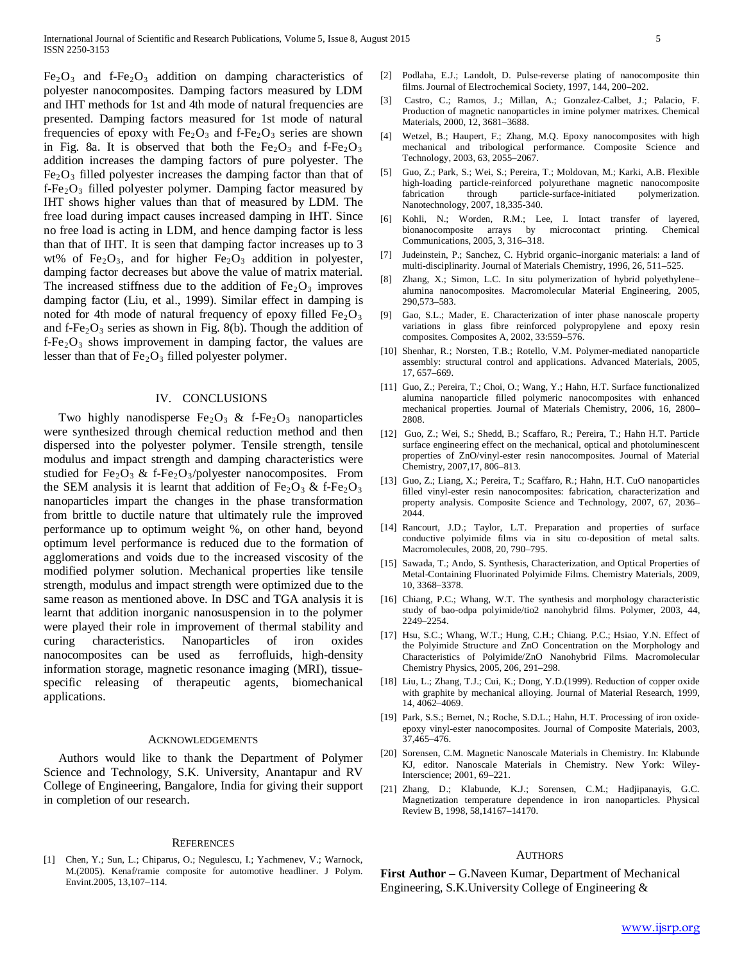$Fe<sub>2</sub>O<sub>3</sub>$  and f-Fe<sub>2</sub>O<sub>3</sub> addition on damping characteristics of polyester nanocomposites. Damping factors measured by LDM and IHT methods for 1st and 4th mode of natural frequencies are presented. Damping factors measured for 1st mode of natural frequencies of epoxy with  $Fe<sub>2</sub>O<sub>3</sub>$  and f-Fe<sub>2</sub>O<sub>3</sub> series are shown in Fig. 8a. It is observed that both the  $Fe<sub>2</sub>O<sub>3</sub>$  and f-Fe<sub>2</sub>O<sub>3</sub> addition increases the damping factors of pure polyester. The  $Fe<sub>2</sub>O<sub>3</sub>$  filled polyester increases the damping factor than that of  $f-Fe<sub>2</sub>O<sub>3</sub>$  filled polyester polymer. Damping factor measured by IHT shows higher values than that of measured by LDM. The free load during impact causes increased damping in IHT. Since no free load is acting in LDM, and hence damping factor is less than that of IHT. It is seen that damping factor increases up to 3 wt% of Fe<sub>2</sub>O<sub>3</sub>, and for higher Fe<sub>2</sub>O<sub>3</sub> addition in polyester, damping factor decreases but above the value of matrix material. The increased stiffness due to the addition of  $Fe<sub>2</sub>O<sub>3</sub>$  improves damping factor (Liu, et al., 1999). Similar effect in damping is noted for 4th mode of natural frequency of epoxy filled  $Fe<sub>2</sub>O<sub>3</sub>$ and f-Fe<sub>2</sub>O<sub>3</sub> series as shown in Fig. 8(b). Though the addition of  $f - Fe_2O_3$  shows improvement in damping factor, the values are lesser than that of  $Fe<sub>2</sub>O<sub>3</sub>$  filled polyester polymer.

#### IV. CONCLUSIONS

Two highly nanodisperse  $Fe<sub>2</sub>O<sub>3</sub>$  & f-Fe<sub>2</sub>O<sub>3</sub> nanoparticles were synthesized through chemical reduction method and then dispersed into the polyester polymer. Tensile strength, tensile modulus and impact strength and damping characteristics were studied for Fe<sub>2</sub>O<sub>3</sub> & f-Fe<sub>2</sub>O<sub>3</sub>/polyester nanocomposites. From the SEM analysis it is learnt that addition of  $Fe<sub>2</sub>O<sub>3</sub>$  & f-Fe<sub>2</sub>O<sub>3</sub> nanoparticles impart the changes in the phase transformation from brittle to ductile nature that ultimately rule the improved performance up to optimum weight %, on other hand, beyond optimum level performance is reduced due to the formation of agglomerations and voids due to the increased viscosity of the modified polymer solution. Mechanical properties like tensile strength, modulus and impact strength were optimized due to the same reason as mentioned above. In DSC and TGA analysis it is learnt that addition inorganic nanosuspension in to the polymer were played their role in improvement of thermal stability and curing characteristics. Nanoparticles of iron oxides nanocomposites can be used as ferrofluids, high-density information storage, magnetic resonance imaging (MRI), tissuespecific releasing of therapeutic agents, biomechanical applications.

#### ACKNOWLEDGEMENTS

 Authors would like to thank the Department of Polymer Science and Technology, S.K. University, Anantapur and RV College of Engineering, Bangalore, India for giving their support in completion of our research.

#### **REFERENCES**

[1] Chen, Y.; Sun, L.; Chiparus, O.; Negulescu, I.; Yachmenev, V.; Warnock, M.(2005). Kenaf/ramie composite for automotive headliner. J Polym. Envint.2005, 13,107–114.

- [2] Podlaha, E.J.; Landolt, D. Pulse-reverse plating of nanocomposite thin films. Journal of Electrochemical Society, 1997, 144, 200–202.
- [3] Castro, C.; Ramos, J.; Millan, A.; Gonzalez-Calbet, J.; Palacio, F. Production of magnetic nanoparticles in imine polymer matrixes. Chemical Materials, 2000, 12, 3681–3688.
- [4] Wetzel, B.; Haupert, F.; Zhang, M.Q. Epoxy nanocomposites with high mechanical and tribological performance. Composite Science and Technology, 2003, 63, 2055–2067.
- [5] Guo, Z.; Park, S.; Wei, S.; Pereira, T.; Moldovan, M.; Karki, A.B. Flexible high-loading particle-reinforced polyurethane magnetic nanocomposite fabrication through particle-surface-initiated polymerization. Nanotechnology, 2007, 18,335-340.
- [6] Kohli, N.; Worden, R.M.; Lee, I. Intact transfer of layered, bionanocomposite arrays by microcontact printing. Chemical Communications, 2005, 3, 316–318.
- [7] Judeinstein, P.; Sanchez, C. Hybrid organic–inorganic materials: a land of multi-disciplinarity. Journal of Materials Chemistry, 1996, 26, 511–525.
- [8] Zhang, X.; Simon, L.C. In situ polymerization of hybrid polyethylene– alumina nanocomposites. Macromolecular Material Engineering, 2005, 290,573–583.
- [9] Gao, S.L.; Mader, E. Characterization of inter phase nanoscale property variations in glass fibre reinforced polypropylene and epoxy resin composites. Composites A, 2002, 33:559–576.
- [10] Shenhar, R.; Norsten, T.B.; Rotello, V.M. Polymer-mediated nanoparticle assembly: structural control and applications. Advanced Materials, 2005, 17, 657–669.
- [11] Guo, Z.; Pereira, T.; Choi, O.; Wang, Y.; Hahn, H.T. Surface functionalized alumina nanoparticle filled polymeric nanocomposites with enhanced mechanical properties. Journal of Materials Chemistry, 2006, 16, 2800– 2808.
- [12] Guo, Z.; Wei, S.; Shedd, B.; Scaffaro, R.; Pereira, T.; Hahn H.T. Particle surface engineering effect on the mechanical, optical and photoluminescent properties of ZnO/vinyl-ester resin nanocomposites. Journal of Material Chemistry, 2007,17, 806–813.
- [13] Guo, Z.; Liang, X.; Pereira, T.; Scaffaro, R.; Hahn, H.T. CuO nanoparticles filled vinyl-ester resin nanocomposites: fabrication, characterization and property analysis. Composite Science and Technology, 2007, 67, 2036– 2044.
- [14] Rancourt, J.D.; Taylor, L.T. Preparation and properties of surface conductive polyimide films via in situ co-deposition of metal salts. Macromolecules, 2008, 20, 790–795.
- [15] Sawada, T.; Ando, S. Synthesis, Characterization, and Optical Properties of Metal-Containing Fluorinated Polyimide Films. Chemistry Materials, 2009, 10, 3368–3378.
- [16] Chiang, P.C.; Whang, W.T. The synthesis and morphology characteristic study of bao-odpa polyimide/tio2 nanohybrid films. Polymer, 2003, 44, 2249–2254.
- [17] Hsu, S.C.; Whang, W.T.; Hung, C.H.; Chiang. P.C.; Hsiao, Y.N. Effect of the Polyimide Structure and ZnO Concentration on the Morphology and Characteristics of Polyimide/ZnO Nanohybrid Films. Macromolecular Chemistry Physics, 2005, 206, 291–298.
- [18] Liu, L.; Zhang, T.J.; Cui, K.; Dong, Y.D.(1999). Reduction of copper oxide with graphite by mechanical alloying. Journal of Material Research, 1999, 14, 4062–4069.
- [19] Park, S.S.; Bernet, N.; Roche, S.D.L.; Hahn, H.T. Processing of iron oxideepoxy vinyl-ester nanocomposites. Journal of Composite Materials, 2003, 37,465–476.
- [20] Sorensen, C.M. Magnetic Nanoscale Materials in Chemistry. In: Klabunde KJ, editor. Nanoscale Materials in Chemistry. New York: Wiley-Interscience; 2001, 69–221.
- [21] Zhang, D.; Klabunde, K.J.; Sorensen, C.M.; Hadjipanayis, G.C. Magnetization temperature dependence in iron nanoparticles. Physical Review B, 1998, 58,14167–14170.

#### AUTHORS

**First Author** – G.Naveen Kumar, Department of Mechanical Engineering, S.K.University College of Engineering &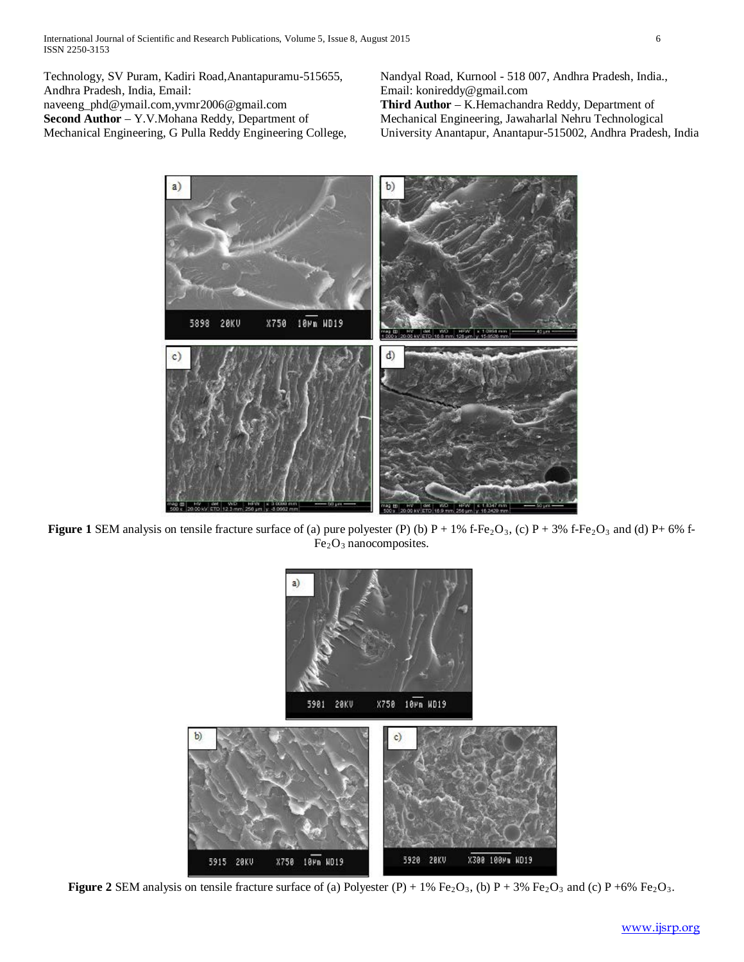Technology, SV Puram, Kadiri Road,Anantapuramu-515655, Andhra Pradesh, India, Email: naveeng\_phd@ymail.com,yvmr2006@gmail.com **Second Author** – Y.V.Mohana Reddy, Department of Mechanical Engineering, G Pulla Reddy Engineering College, Nandyal Road, Kurnool - 518 007, Andhra Pradesh, India., Email: konireddy@gmail.com **Third Author** – K.Hemachandra Reddy, Department of Mechanical Engineering, Jawaharlal Nehru Technological University Anantapur, Anantapur-515002, Andhra Pradesh, India



**Figure 1** SEM analysis on tensile fracture surface of (a) pure polyester (P) (b)  $P + 1\%$  f-Fe<sub>2</sub>O<sub>3</sub>, (c)  $P + 3\%$  f-Fe<sub>2</sub>O<sub>3</sub> and (d)  $P + 6\%$  f- $Fe<sub>2</sub>O<sub>3</sub>$  nanocomposites.



**Figure 2** SEM analysis on tensile fracture surface of (a) Polyester  $(P) + 1\%$  Fe<sub>2</sub>O<sub>3</sub>, (b) P + 3% Fe<sub>2</sub>O<sub>3</sub> and (c) P +6% Fe<sub>2</sub>O<sub>3</sub>.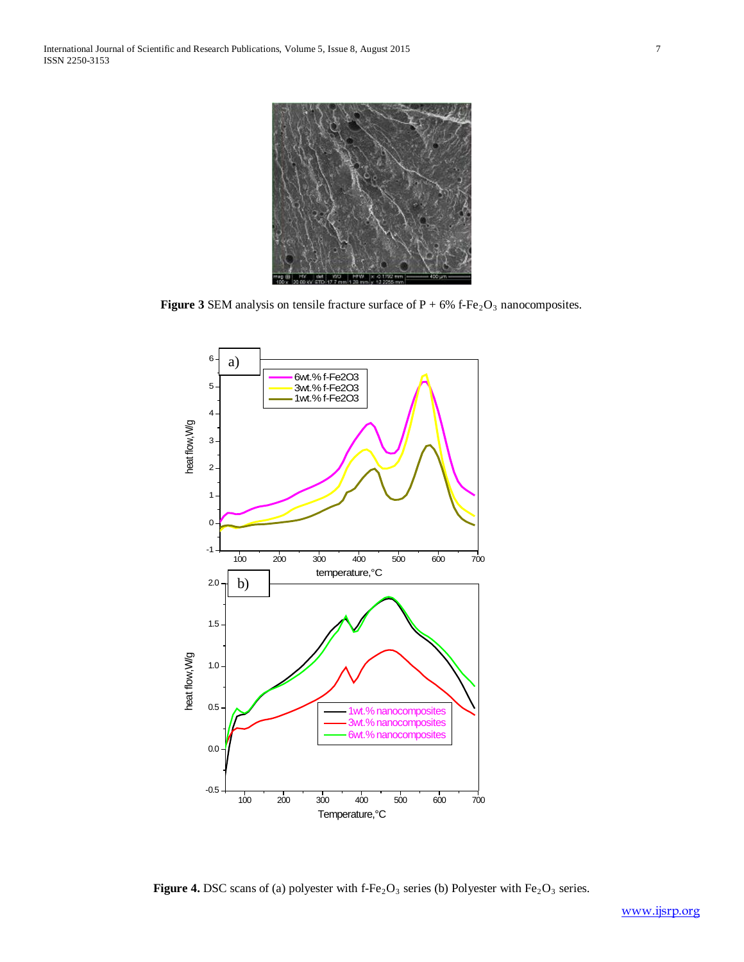

**Figure 3** SEM analysis on tensile fracture surface of  $P + 6%$  f-Fe<sub>2</sub>O<sub>3</sub> nanocomposites.



Figure 4. DSC scans of (a) polyester with f-Fe<sub>2</sub>O<sub>3</sub> series (b) Polyester with Fe<sub>2</sub>O<sub>3</sub> series.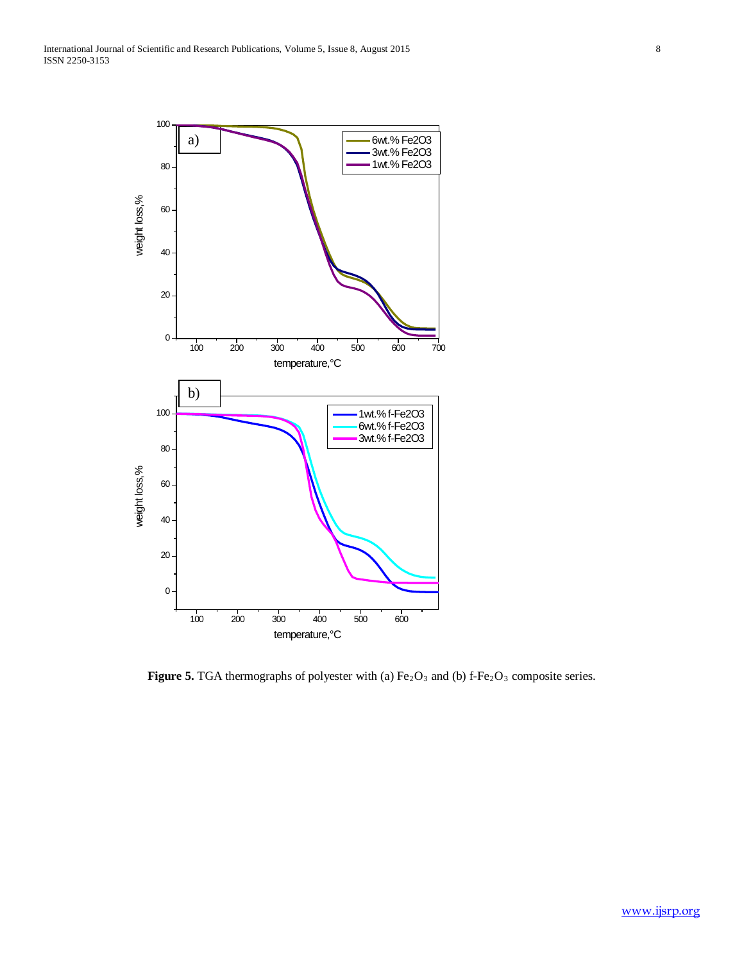

**Figure 5.** TGA thermographs of polyester with (a)  $Fe<sub>2</sub>O<sub>3</sub>$  and (b) f-Fe<sub>2</sub>O<sub>3</sub> composite series.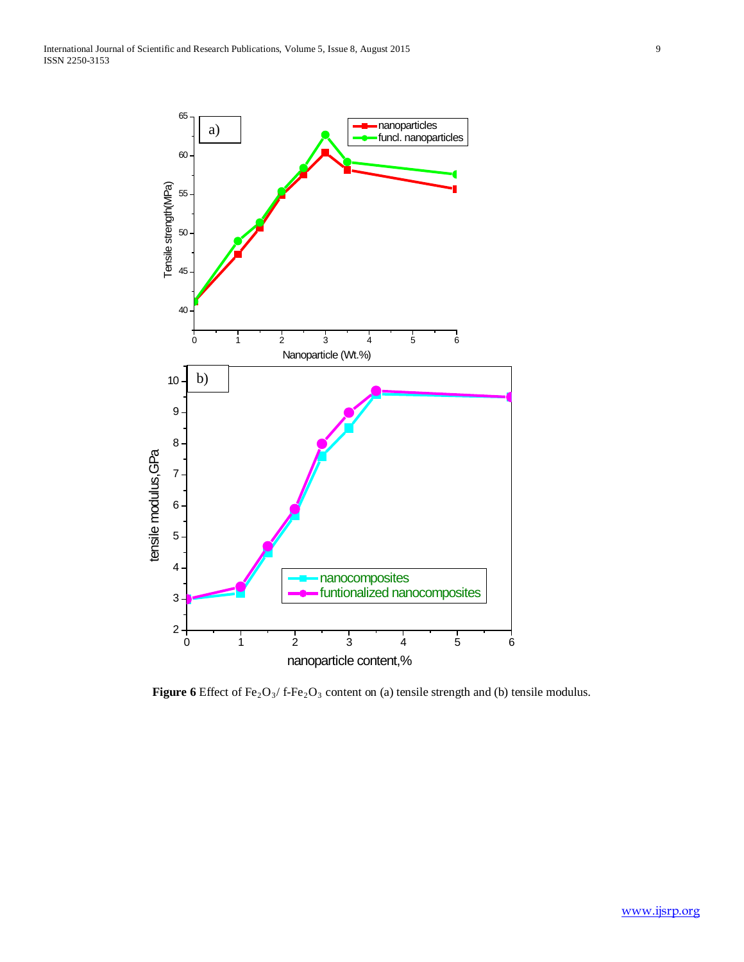

**Figure 6** Effect of Fe<sub>2</sub>O<sub>3</sub>/ f-Fe<sub>2</sub>O<sub>3</sub> content on (a) tensile strength and (b) tensile modulus.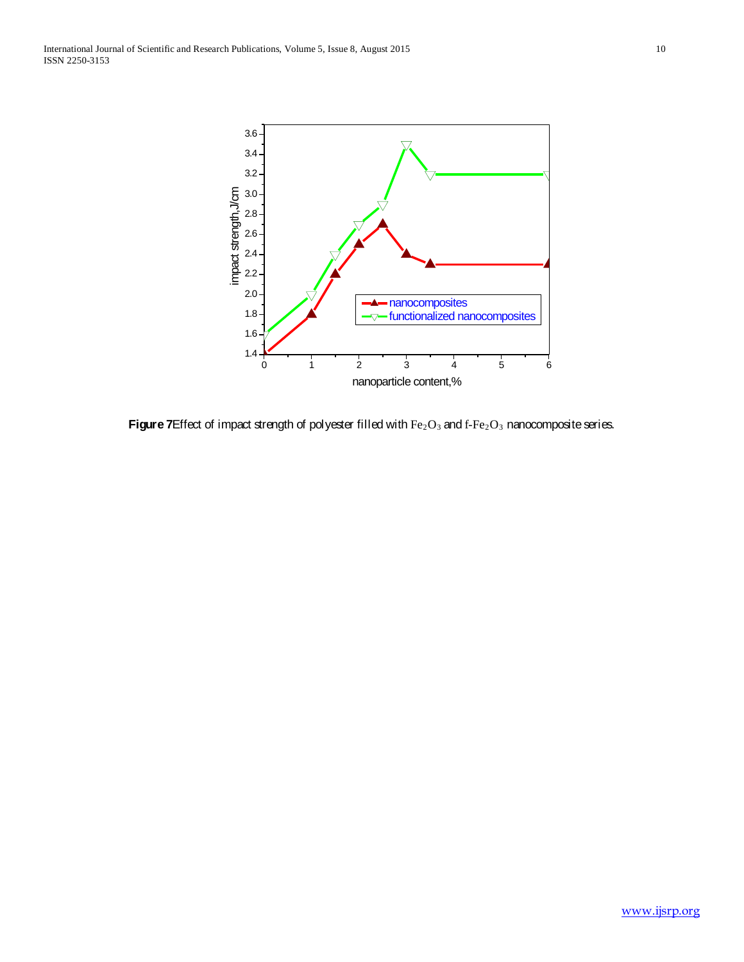International Journal of Scientific and Research Publications, Volume 5, Issue 8, August 2015 10 ISSN 2250-3153



**Figure 7**Effect of impact strength of polyester filled with  $Fe<sub>2</sub>O<sub>3</sub>$  and f-Fe<sub>2</sub>O<sub>3</sub> nanocomposite series.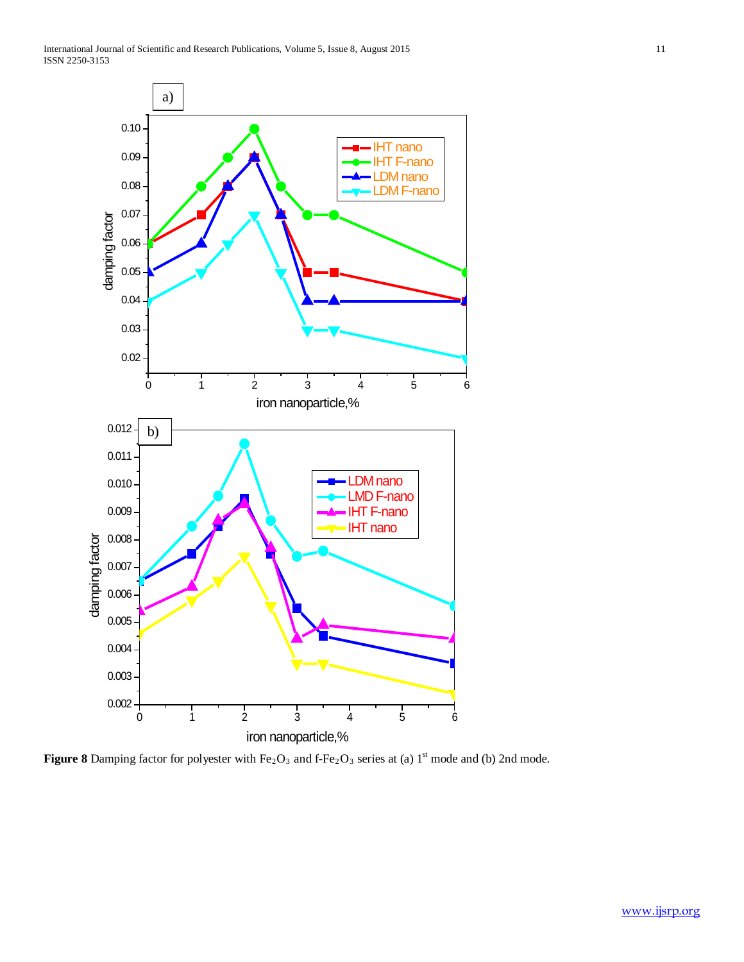International Journal of Scientific and Research Publications, Volume 5, Issue 8, August 2015 11 ISSN 2250-3153



**Figure 8** Damping factor for polyester with  $Fe<sub>2</sub>O<sub>3</sub>$  and f- $Fe<sub>2</sub>O<sub>3</sub>$  series at (a) 1<sup>st</sup> mode and (b) 2nd mode.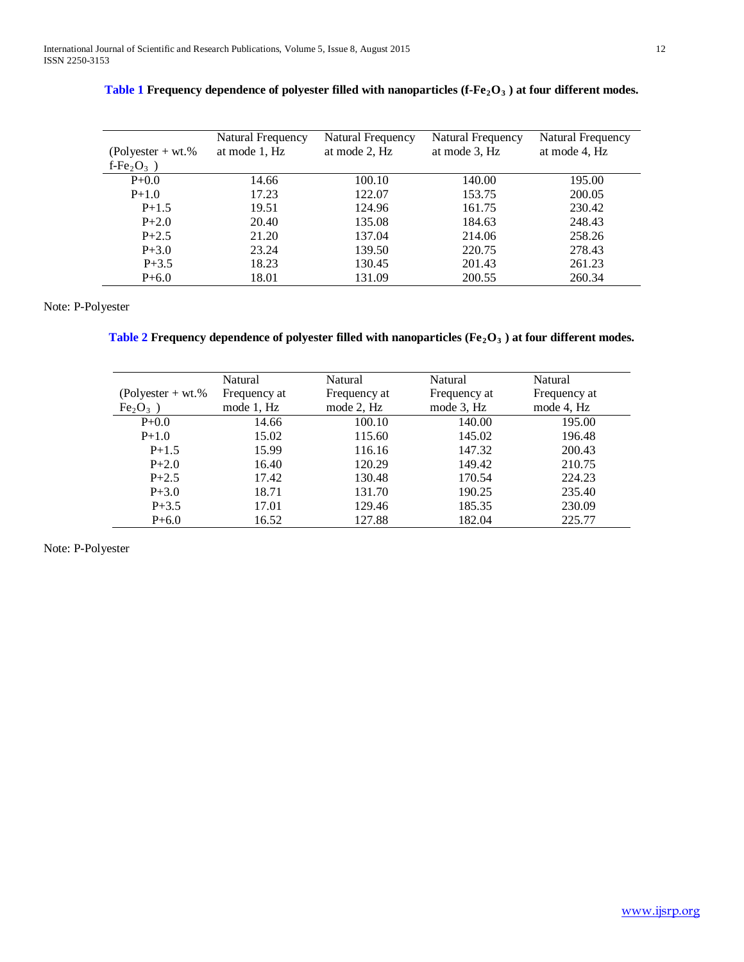|                           | Natural Frequency | Natural Frequency | Natural Frequency | Natural Frequency |
|---------------------------|-------------------|-------------------|-------------------|-------------------|
| $(Polyester + wt. %$      | at mode 1, Hz     | at mode 2, Hz     | at mode 3, Hz     | at mode 4, Hz     |
| f-Fe <sub>2</sub> $O_3$ ) |                   |                   |                   |                   |
| $P + 0.0$                 | 14.66             | 100.10            | 140.00            | 195.00            |
| $P+1.0$                   | 17.23             | 122.07            | 153.75            | 200.05            |
| $P+1.5$                   | 19.51             | 124.96            | 161.75            | 230.42            |
| $P + 2.0$                 | 20.40             | 135.08            | 184.63            | 248.43            |
| $P + 2.5$                 | 21.20             | 137.04            | 214.06            | 258.26            |
| $P + 3.0$                 | 23.24             | 139.50            | 220.75            | 278.43            |
| $P + 3.5$                 | 18.23             | 130.45            | 201.43            | 261.23            |
| $P + 6.0$                 | 18.01             | 131.09            | 200.55            | 260.34            |

|  |  |  | Table 1 Frequency dependence of polyester filled with nanoparticles (f-Fe <sub>2</sub> O <sub>3</sub> ) at four different modes. |  |  |
|--|--|--|----------------------------------------------------------------------------------------------------------------------------------|--|--|
|--|--|--|----------------------------------------------------------------------------------------------------------------------------------|--|--|

## Note: P-Polyester

| Table 2 Frequency dependence of polyester filled with nanoparticles ( $Fe2O3$ ) at four different modes. |  |  |  |  |  |  |  |
|----------------------------------------------------------------------------------------------------------|--|--|--|--|--|--|--|
|----------------------------------------------------------------------------------------------------------|--|--|--|--|--|--|--|

|                                | Natural      | Natural      | Natural      | Natural      |
|--------------------------------|--------------|--------------|--------------|--------------|
| $(Polvester + wt.$ %           | Frequency at | Frequency at | Frequency at | Frequency at |
| Fe <sub>2</sub> O <sub>3</sub> | mode 1, Hz   | mode 2, Hz   | mode 3, Hz   | mode 4, Hz   |
| $P + 0.0$                      | 14.66        | 100.10       | 140.00       | 195.00       |
| $P+1.0$                        | 15.02        | 115.60       | 145.02       | 196.48       |
| $P+1.5$                        | 15.99        | 116.16       | 147.32       | 200.43       |
| $P + 2.0$                      | 16.40        | 120.29       | 149.42       | 210.75       |
| $P + 2.5$                      | 17.42        | 130.48       | 170.54       | 224.23       |
| $P + 3.0$                      | 18.71        | 131.70       | 190.25       | 235.40       |
| $P + 3.5$                      | 17.01        | 129.46       | 185.35       | 230.09       |
| $P + 6.0$                      | 16.52        | 127.88       | 182.04       | 225.77       |

Note: P-Polyester